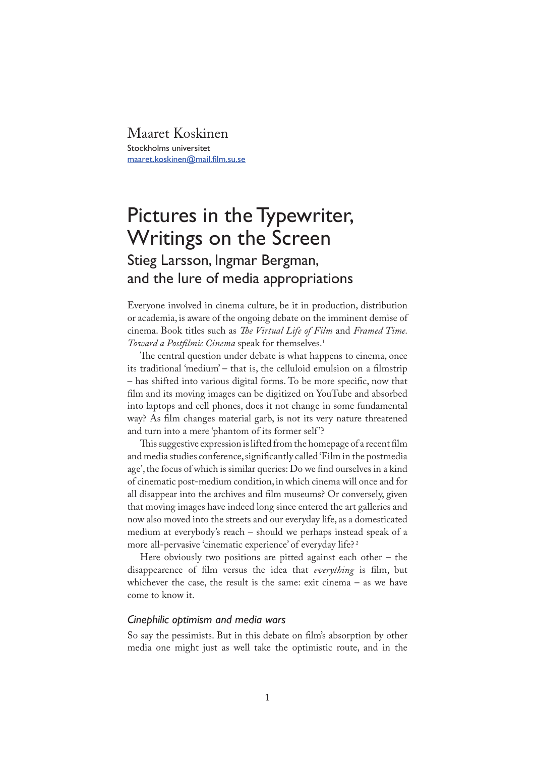Maaret Koskinen Stockholms universitet maaret.koskinen@mail.film.su.se

# Pictures in the Typewriter, Writings on the Screen

## Stieg Larsson, Ingmar Bergman, and the lure of media appropriations

Everyone involved in cinema culture, be it in production, distribution or academia, is aware of the ongoing debate on the imminent demise of cinema. Book titles such as *�e Virtual Life of Film* and *Framed Time.*  Toward a Postfilmic Cinema speak for themselves.<sup>1</sup>

The central question under debate is what happens to cinema, once its traditional 'medium' – that is, the celluloid emulsion on a filmstrip – has shifted into various digital forms. To be more speci�c, now that film and its moving images can be digitized on YouTube and absorbed into laptops and cell phones, does it not change in some fundamental way? As film changes material garb, is not its very nature threatened and turn into a mere 'phantom of its former self '?

This suggestive expression is lifted from the homepage of a recent film and media studies conference, significantly called 'Film in the postmedia age', the focus of which is similar queries: Do we �nd ourselves in a kind of cinematic post-medium condition, in which cinema will once and for all disappear into the archives and film museums? Or conversely, given that moving images have indeed long since entered the art galleries and now also moved into the streets and our everyday life, as a domesticated medium at everybody's reach – should we perhaps instead speak of a more all-pervasive 'cinematic experience' of everyday life?<sup>2</sup>

Here obviously two positions are pitted against each other – the disappearence of �lm versus the idea that *everything* is �lm, but whichever the case, the result is the same: exit cinema – as we have come to know it.

### *Cinephilic optimism and media wars*

So say the pessimists. But in this debate on film's absorption by other media one might just as well take the optimistic route, and in the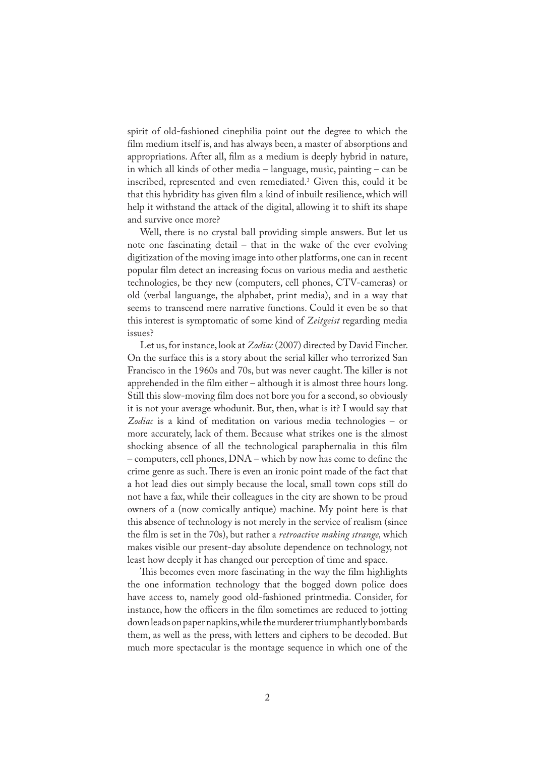spirit of old-fashioned cinephilia point out the degree to which the film medium itself is, and has always been, a master of absorptions and appropriations. After all, film as a medium is deeply hybrid in nature, in which all kinds of other media – language, music, painting – can be inscribed, represented and even remediated.3 Given this, could it be that this hybridity has given film a kind of inbuilt resilience, which will help it withstand the attack of the digital, allowing it to shift its shape and survive once more?

Well, there is no crystal ball providing simple answers. But let us note one fascinating detail – that in the wake of the ever evolving digitization of the moving image into other platforms, one can in recent popular �lm detect an increasing focus on various media and aesthetic technologies, be they new (computers, cell phones, CTV-cameras) or old (verbal languange, the alphabet, print media), and in a way that seems to transcend mere narrative functions. Could it even be so that this interest is symptomatic of some kind of *Zeitgeist* regarding media issues?

Let us, for instance, look at *Zodiac* (2007) directed by David Fincher. On the surface this is a story about the serial killer who terrorized San Francisco in the 1960s and 70s, but was never caught. The killer is not apprehended in the film either – although it is almost three hours long. Still this slow-moving film does not bore you for a second, so obviously it is not your average whodunit. But, then, what is it? I would say that *Zodiac* is a kind of meditation on various media technologies – or more accurately, lack of them. Because what strikes one is the almost shocking absence of all the technological paraphernalia in this film  $-$  computers, cell phones,  $DNA$  – which by now has come to define the crime genre as such. There is even an ironic point made of the fact that a hot lead dies out simply because the local, small town cops still do not have a fax, while their colleagues in the city are shown to be proud owners of a (now comically antique) machine. My point here is that this absence of technology is not merely in the service of realism (since the �lm is set in the 70s), but rather a *retroactive making strange,* which makes visible our present-day absolute dependence on technology, not least how deeply it has changed our perception of time and space.

This becomes even more fascinating in the way the film highlights the one information technology that the bogged down police does have access to, namely good old-fashioned printmedia. Consider, for instance, how the officers in the film sometimes are reduced to jotting down leads on paper napkins, while the murderer triumphantly bombards them, as well as the press, with letters and ciphers to be decoded. But much more spectacular is the montage sequence in which one of the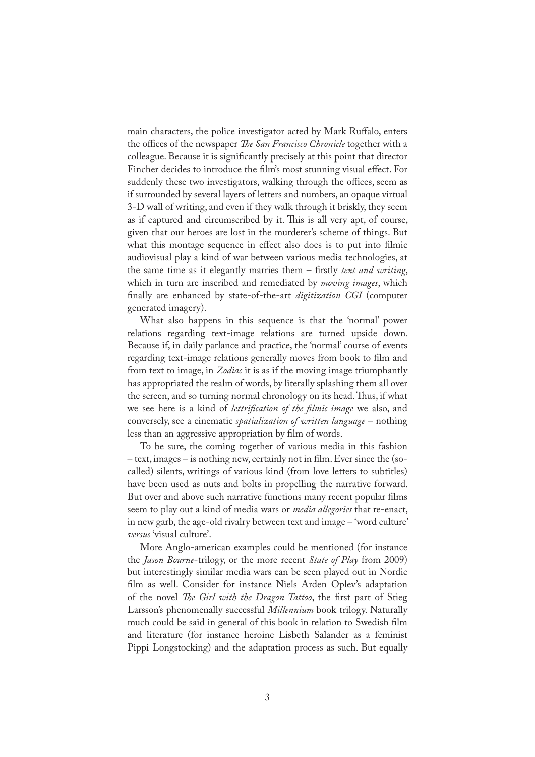main characters, the police investigator acted by Mark Ruffalo, enters the offices of the newspaper *�e San Francisco Chronicle* together with a colleague. Because it is significantly precisely at this point that director Fincher decides to introduce the film's most stunning visual effect. For suddenly these two investigators, walking through the offices, seem as if surrounded by several layers of letters and numbers, an opaque virtual 3-D wall of writing, and even if they walk through it briskly, they seem as if captured and circumscribed by it. This is all very apt, of course, given that our heroes are lost in the murderer's scheme of things. But what this montage sequence in effect also does is to put into filmic audiovisual play a kind of war between various media technologies, at the same time as it elegantly marries them – firstly *text and writing*, which in turn are inscribed and remediated by *moving images*, which �nally are enhanced by state-of-the-art *digitization CGI* (computer generated imagery).

What also happens in this sequence is that the 'normal' power relations regarding text-image relations are turned upside down. Because if, in daily parlance and practice, the 'normal' course of events regarding text-image relations generally moves from book to film and from text to image, in *Zodiac* it is as if the moving image triumphantly has appropriated the realm of words, by literally splashing them all over the screen, and so turning normal chronology on its head. Thus, if what we see here is a kind of *lettri�cation of the �lmic image* we also, and conversely, see a cinematic *spatialization of written language* – nothing less than an aggressive appropriation by film of words.

To be sure, the coming together of various media in this fashion – text, images – is nothing new, certainly not in �lm. Ever since the (socalled) silents, writings of various kind (from love letters to subtitles) have been used as nuts and bolts in propelling the narrative forward. But over and above such narrative functions many recent popular films seem to play out a kind of media wars or *media allegories* that re-enact, in new garb, the age-old rivalry between text and image – 'word culture' *versus* 'visual culture'.

More Anglo-american examples could be mentioned (for instance the *Jason Bourne*-trilogy, or the more recent *State of Play* from 2009) but interestingly similar media wars can be seen played out in Nordic film as well. Consider for instance Niels Arden Oplev's adaptation of the novel *The Girl with the Dragon Tattoo*, the first part of Stieg Larsson's phenomenally successful *Millennium* book trilogy. Naturally much could be said in general of this book in relation to Swedish �lm and literature (for instance heroine Lisbeth Salander as a feminist Pippi Longstocking) and the adaptation process as such. But equally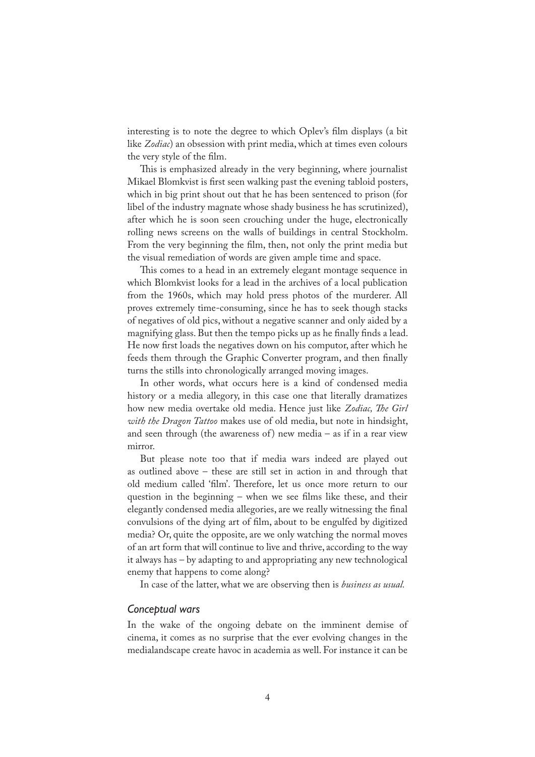interesting is to note the degree to which Oplev's �lm displays (a bit like *Zodiac*) an obsession with print media, which at times even colours the very style of the film.

This is emphasized already in the very beginning, where journalist Mikael Blomkvist is first seen walking past the evening tabloid posters, which in big print shout out that he has been sentenced to prison (for libel of the industry magnate whose shady business he has scrutinized), after which he is soon seen crouching under the huge, electronically rolling news screens on the walls of buildings in central Stockholm. From the very beginning the film, then, not only the print media but the visual remediation of words are given ample time and space.

This comes to a head in an extremely elegant montage sequence in which Blomkvist looks for a lead in the archives of a local publication from the 1960s, which may hold press photos of the murderer. All proves extremely time-consuming, since he has to seek though stacks of negatives of old pics, without a negative scanner and only aided by a magnifying glass. But then the tempo picks up as he finally finds a lead. He now first loads the negatives down on his computor, after which he feeds them through the Graphic Converter program, and then finally turns the stills into chronologically arranged moving images.

In other words, what occurs here is a kind of condensed media history or a media allegory, in this case one that literally dramatizes how new media overtake old media. Hence just like *Zodiac, �e Girl with the Dragon Tattoo* makes use of old media, but note in hindsight, and seen through (the awareness of) new media  $-$  as if in a rear view mirror.

But please note too that if media wars indeed are played out as outlined above – these are still set in action in and through that old medium called 'film'. Therefore, let us once more return to our question in the beginning – when we see films like these, and their elegantly condensed media allegories, are we really witnessing the final convulsions of the dying art of �lm, about to be engulfed by digitized media? Or, quite the opposite, are we only watching the normal moves of an art form that will continue to live and thrive, according to the way it always has – by adapting to and appropriating any new technological enemy that happens to come along?

In case of the latter, what we are observing then is *business as usual.* 

#### *Conceptual wars*

In the wake of the ongoing debate on the imminent demise of cinema, it comes as no surprise that the ever evolving changes in the medialandscape create havoc in academia as well. For instance it can be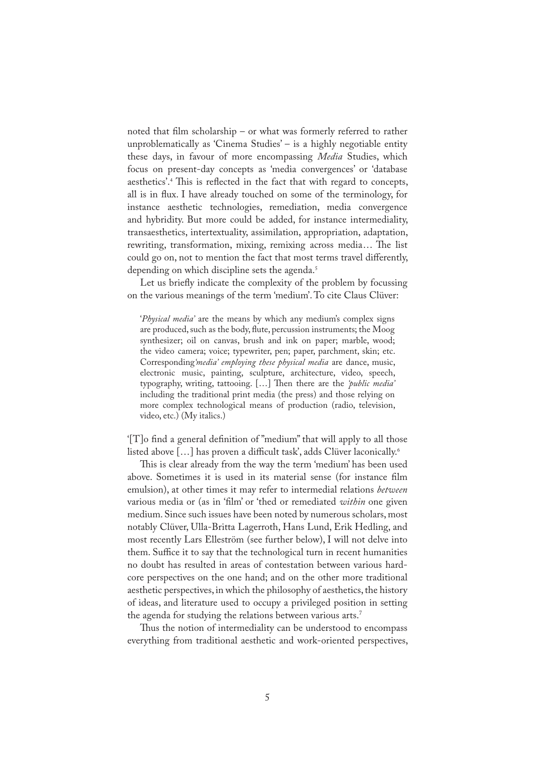noted that film scholarship – or what was formerly referred to rather unproblematically as 'Cinema Studies' – is a highly negotiable entity these days, in favour of more encompassing *Media* Studies, which focus on present-day concepts as 'media convergences' or 'database aesthetics'.<sup>4</sup> This is reflected in the fact that with regard to concepts, all is in �ux. I have already touched on some of the terminology, for instance aesthetic technologies, remediation, media convergence and hybridity. But more could be added, for instance intermediality, transaesthetics, intertextuality, assimilation, appropriation, adaptation, rewriting, transformation, mixing, remixing across media... The list could go on, not to mention the fact that most terms travel differently, depending on which discipline sets the agenda. 5

Let us briefly indicate the complexity of the problem by focussing on the various meanings of the term 'medium'. To cite Claus Clüver:

'*Physical media'* are the means by which any medium's complex signs are produced, such as the body, flute, percussion instruments; the Moog synthesizer; oil on canvas, brush and ink on paper; marble, wood; the video camera; voice; typewriter, pen; paper, parchment, skin; etc. Corresponding*'media' employing these physical media* are dance, music, electronic music, painting, sculpture, architecture, video, speech, typography, writing, tattooing. [...] Then there are the 'public media' including the traditional print media (the press) and those relying on more complex technological means of production (radio, television, video, etc.) (My italics.)

'[T]o �nd a general de�nition of "medium" that will apply to all those listed above […] has proven a difficult task', adds Clüver laconically.<sup>6</sup>

This is clear already from the way the term 'medium' has been used above. Sometimes it is used in its material sense (for instance film emulsion), at other times it may refer to intermedial relations *between*  various media or (as in '�lm' or 'thed or remediated *within* one given medium. Since such issues have been noted by numerous scholars, most notably Clüver, Ulla-Britta Lagerroth, Hans Lund, Erik Hedling, and most recently Lars Elleström (see further below), I will not delve into them. Suffice it to say that the technological turn in recent humanities no doubt has resulted in areas of contestation between various hardcore perspectives on the one hand; and on the other more traditional aesthetic perspectives, in which the philosophy of aesthetics, the history of ideas, and literature used to occupy a privileged position in setting the agenda for studying the relations between various arts.<sup>7</sup>

Thus the notion of intermediality can be understood to encompass everything from traditional aesthetic and work-oriented perspectives,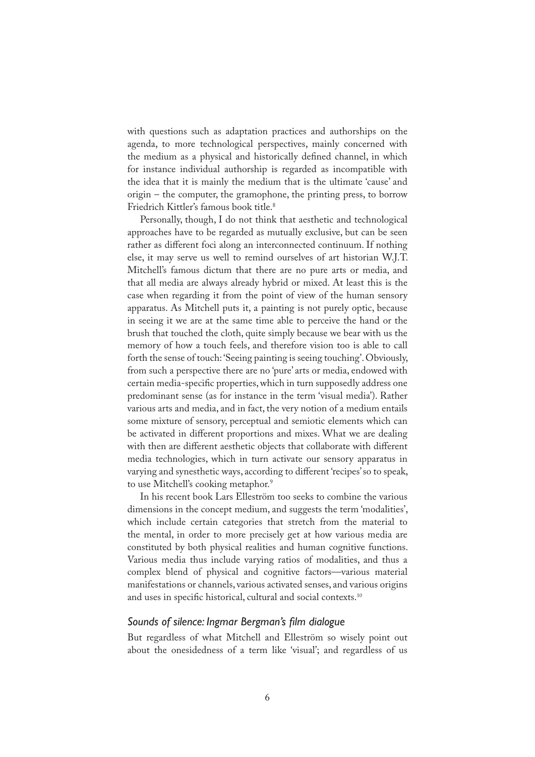with questions such as adaptation practices and authorships on the agenda, to more technological perspectives, mainly concerned with the medium as a physical and historically defined channel, in which for instance individual authorship is regarded as incompatible with the idea that it is mainly the medium that is the ultimate 'cause' and origin – the computer, the gramophone, the printing press, to borrow Friedrich Kittler's famous book title.<sup>8</sup>

Personally, though, I do not think that aesthetic and technological approaches have to be regarded as mutually exclusive, but can be seen rather as different foci along an interconnected continuum. If nothing else, it may serve us well to remind ourselves of art historian W.J.T. Mitchell's famous dictum that there are no pure arts or media, and that all media are always already hybrid or mixed. At least this is the case when regarding it from the point of view of the human sensory apparatus. As Mitchell puts it, a painting is not purely optic, because in seeing it we are at the same time able to perceive the hand or the brush that touched the cloth, quite simply because we bear with us the memory of how a touch feels, and therefore vision too is able to call forth the sense of touch: 'Seeing painting is seeing touching'. Obviously, from such a perspective there are no 'pure' arts or media, endowed with certain media-specific properties, which in turn supposedly address one predominant sense (as for instance in the term 'visual media'). Rather various arts and media, and in fact, the very notion of a medium entails some mixture of sensory, perceptual and semiotic elements which can be activated in different proportions and mixes. What we are dealing with then are different aesthetic objects that collaborate with different media technologies, which in turn activate our sensory apparatus in varying and synesthetic ways, according to different 'recipes' so to speak, to use Mitchell's cooking metaphor.9

In his recent book Lars Elleström too seeks to combine the various dimensions in the concept medium, and suggests the term 'modalities', which include certain categories that stretch from the material to the mental, in order to more precisely get at how various media are constituted by both physical realities and human cognitive functions. Various media thus include varying ratios of modalities, and thus a complex blend of physical and cognitive factors—various material manifestations or channels, various activated senses, and various origins and uses in specific historical, cultural and social contexts.<sup>10</sup>

#### *Sounds of silence: Ingmar Bergman's film dialogue*

But regardless of what Mitchell and Elleström so wisely point out about the onesidedness of a term like 'visual'; and regardless of us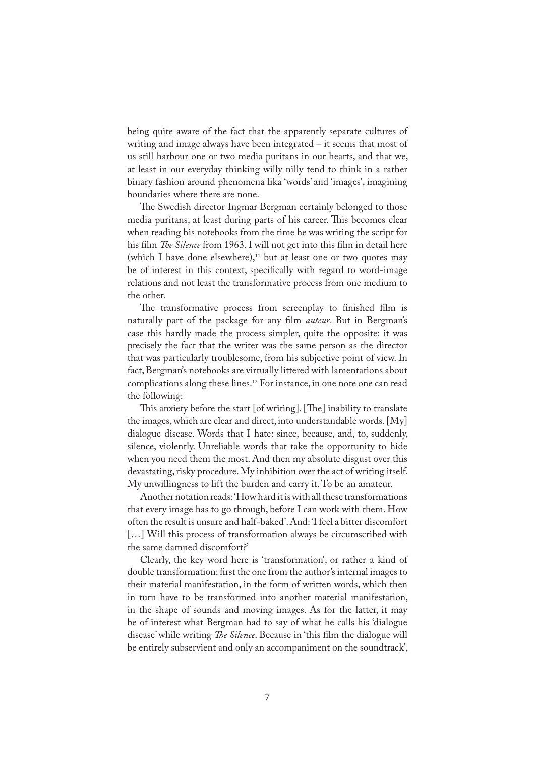being quite aware of the fact that the apparently separate cultures of writing and image always have been integrated – it seems that most of us still harbour one or two media puritans in our hearts, and that we, at least in our everyday thinking willy nilly tend to think in a rather binary fashion around phenomena lika 'words' and 'images', imagining boundaries where there are none.

The Swedish director Ingmar Bergman certainly belonged to those media puritans, at least during parts of his career. This becomes clear when reading his notebooks from the time he was writing the script for his film *The Silence* from 1963. I will not get into this film in detail here (which I have done elsewhere), $11$  but at least one or two quotes may be of interest in this context, specifically with regard to word-image relations and not least the transformative process from one medium to the other.

The transformative process from screenplay to finished film is naturally part of the package for any �lm *auteur*. But in Bergman's case this hardly made the process simpler, quite the opposite: it was precisely the fact that the writer was the same person as the director that was particularly troublesome, from his subjective point of view. In fact, Bergman's notebooks are virtually littered with lamentations about complications along these lines.12 For instance, in one note one can read the following:

This anxiety before the start  $[$  of writing]. [The] inability to translate the images, which are clear and direct, into understandable words. [My] dialogue disease. Words that I hate: since, because, and, to, suddenly, silence, violently. Unreliable words that take the opportunity to hide when you need them the most. And then my absolute disgust over this devastating, risky procedure. My inhibition over the act of writing itself. My unwillingness to lift the burden and carry it. To be an amateur.

Another notation reads: 'How hard it is with all these transformations that every image has to go through, before I can work with them. How often the result is unsure and half-baked'. And: 'I feel a bitter discomfort [...] Will this process of transformation always be circumscribed with the same damned discomfort?'

Clearly, the key word here is 'transformation', or rather a kind of double transformation: first the one from the author's internal images to their material manifestation, in the form of written words, which then in turn have to be transformed into another material manifestation, in the shape of sounds and moving images. As for the latter, it may be of interest what Bergman had to say of what he calls his 'dialogue disease' while writing *�e Silence*. Because in 'this �lm the dialogue will be entirely subservient and only an accompaniment on the soundtrack',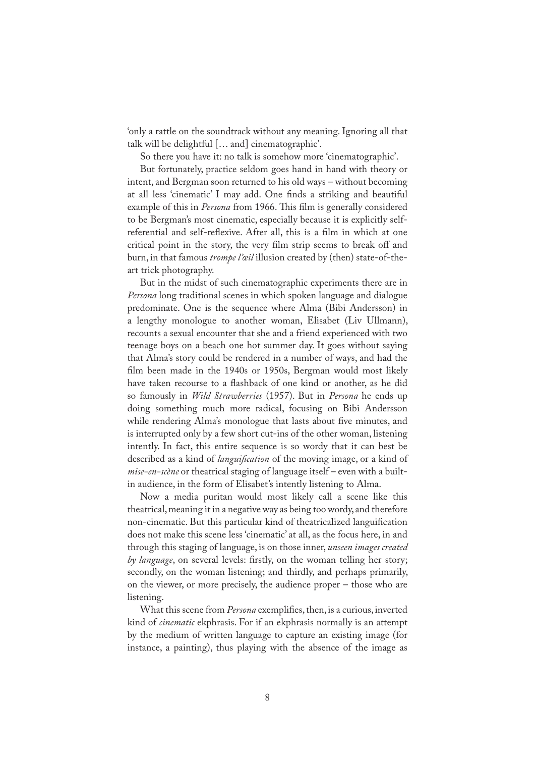'only a rattle on the soundtrack without any meaning. Ignoring all that talk will be delightful [… and] cinematographic'.

So there you have it: no talk is somehow more 'cinematographic'.

But fortunately, practice seldom goes hand in hand with theory or intent, and Bergman soon returned to his old ways – without becoming at all less 'cinematic' I may add. One finds a striking and beautiful example of this in *Persona* from 1966. This film is generally considered to be Bergman's most cinematic, especially because it is explicitly selfreferential and self-reflexive. After all, this is a film in which at one critical point in the story, the very film strip seems to break off and burn, in that famous *trompe l'œil* illusion created by (then) state-of-theart trick photography.

But in the midst of such cinematographic experiments there are in *Persona* long traditional scenes in which spoken language and dialogue predominate. One is the sequence where Alma (Bibi Andersson) in a lengthy monologue to another woman, Elisabet (Liv Ullmann), recounts a sexual encounter that she and a friend experienced with two teenage boys on a beach one hot summer day. It goes without saying that Alma's story could be rendered in a number of ways, and had the film been made in the 1940s or 1950s, Bergman would most likely have taken recourse to a flashback of one kind or another, as he did so famously in *Wild Strawberries* (1957). But in *Persona* he ends up doing something much more radical, focusing on Bibi Andersson while rendering Alma's monologue that lasts about five minutes, and is interrupted only by a few short cut-ins of the other woman, listening intently. In fact, this entire sequence is so wordy that it can best be described as a kind of *langui�cation* of the moving image, or a kind of *mise-en-scène* or theatrical staging of language itself – even with a builtin audience, in the form of Elisabet's intently listening to Alma.

Now a media puritan would most likely call a scene like this theatrical, meaning it in a negative way as being too wordy, and therefore non-cinematic. But this particular kind of theatricalized langui�cation does not make this scene less 'cinematic' at all, as the focus here, in and through this staging of language, is on those inner, *unseen images created by language*, on several levels: firstly, on the woman telling her story; secondly, on the woman listening; and thirdly, and perhaps primarily, on the viewer, or more precisely, the audience proper – those who are listening.

What this scene from *Persona* exemplifies, then, is a curious, inverted kind of *cinematic* ekphrasis. For if an ekphrasis normally is an attempt by the medium of written language to capture an existing image (for instance, a painting), thus playing with the absence of the image as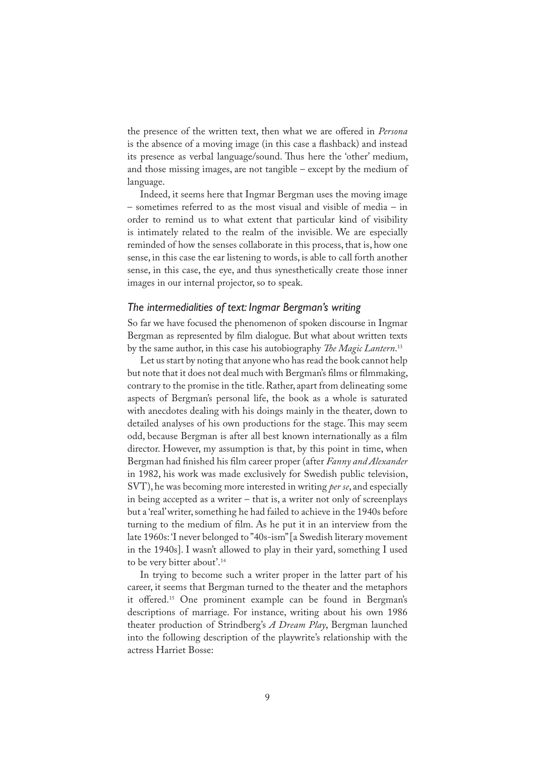the presence of the written text, then what we are offered in *Persona* is the absence of a moving image (in this case a flashback) and instead its presence as verbal language/sound. Thus here the 'other' medium, and those missing images, are not tangible – except by the medium of language.

Indeed, it seems here that Ingmar Bergman uses the moving image – sometimes referred to as the most visual and visible of media – in order to remind us to what extent that particular kind of visibility is intimately related to the realm of the invisible. We are especially reminded of how the senses collaborate in this process, that is, how one sense, in this case the ear listening to words, is able to call forth another sense, in this case, the eye, and thus synesthetically create those inner images in our internal projector, so to speak.

#### *The intermedialities of text: Ingmar Bergman's writing*

So far we have focused the phenomenon of spoken discourse in Ingmar Bergman as represented by �lm dialogue. But what about written texts by the same author, in this case his autobiography *The Magic Lantern*.<sup>13</sup>

Let us start by noting that anyone who has read the book cannot help but note that it does not deal much with Bergman's films or filmmaking, contrary to the promise in the title. Rather, apart from delineating some aspects of Bergman's personal life, the book as a whole is saturated with anecdotes dealing with his doings mainly in the theater, down to detailed analyses of his own productions for the stage. This may seem odd, because Bergman is after all best known internationally as a film director. However, my assumption is that, by this point in time, when Bergman had finished his film career proper (after *Fanny and Alexander* in 1982, his work was made exclusively for Swedish public television, SVT), he was becoming more interested in writing *per se*, and especially in being accepted as a writer – that is, a writer not only of screenplays but a 'real' writer, something he had failed to achieve in the 1940s before turning to the medium of film. As he put it in an interview from the late 1960s: 'I never belonged to "40s-ism" [a Swedish literary movement in the 1940s]. I wasn't allowed to play in their yard, something I used to be very bitter about'.14

In trying to become such a writer proper in the latter part of his career, it seems that Bergman turned to the theater and the metaphors it offered.15 One prominent example can be found in Bergman's descriptions of marriage. For instance, writing about his own 1986 theater production of Strindberg's *A Dream Play*, Bergman launched into the following description of the playwrite's relationship with the actress Harriet Bosse: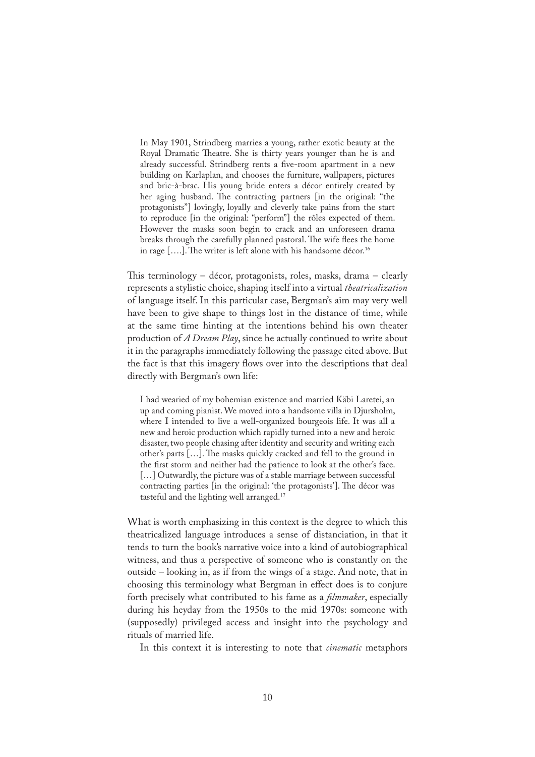In May 1901, Strindberg marries a young, rather exotic beauty at the Royal Dramatic Theatre. She is thirty years younger than he is and already successful. Strindberg rents a five-room apartment in a new building on Karlaplan, and chooses the furniture, wallpapers, pictures and bric-à-brac. His young bride enters a décor entirely created by her aging husband. The contracting partners [in the original: "the protagonists"] lovingly, loyally and cleverly take pains from the start to reproduce [in the original: "perform"] the rôles expected of them. However the masks soon begin to crack and an unforeseen drama breaks through the carefully planned pastoral. The wife flees the home in rage [....]. The writer is left alone with his handsome décor.<sup>16</sup>

This terminology – décor, protagonists, roles, masks, drama – clearly represents a stylistic choice, shaping itself into a virtual *theatricalization*  of language itself. In this particular case, Bergman's aim may very well have been to give shape to things lost in the distance of time, while at the same time hinting at the intentions behind his own theater production of *A Dream Play*, since he actually continued to write about it in the paragraphs immediately following the passage cited above. But the fact is that this imagery flows over into the descriptions that deal directly with Bergman's own life:

I had wearied of my bohemian existence and married Käbi Laretei, an up and coming pianist. We moved into a handsome villa in Djursholm, where I intended to live a well-organized bourgeois life. It was all a new and heroic production which rapidly turned into a new and heroic disaster, two people chasing after identity and security and writing each other's parts […]. �e masks quickly cracked and fell to the ground in the first storm and neither had the patience to look at the other's face. [...] Outwardly, the picture was of a stable marriage between successful contracting parties [in the original: 'the protagonists']. The décor was tasteful and the lighting well arranged.<sup>17</sup>

What is worth emphasizing in this context is the degree to which this theatricalized language introduces a sense of distanciation, in that it tends to turn the book's narrative voice into a kind of autobiographical witness, and thus a perspective of someone who is constantly on the outside – looking in, as if from the wings of a stage. And note, that in choosing this terminology what Bergman in effect does is to conjure forth precisely what contributed to his fame as a *�lmmaker*, especially during his heyday from the 1950s to the mid 1970s: someone with (supposedly) privileged access and insight into the psychology and rituals of married life.

In this context it is interesting to note that *cinematic* metaphors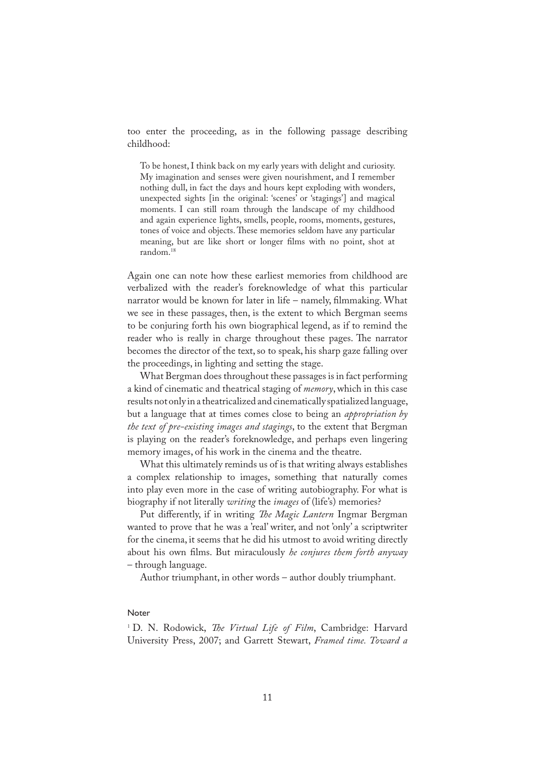too enter the proceeding, as in the following passage describing childhood:

To be honest, I think back on my early years with delight and curiosity. My imagination and senses were given nourishment, and I remember nothing dull, in fact the days and hours kept exploding with wonders, unexpected sights [in the original: 'scenes' or 'stagings'] and magical moments. I can still roam through the landscape of my childhood and again experience lights, smells, people, rooms, moments, gestures, tones of voice and objects. These memories seldom have any particular meaning, but are like short or longer �lms with no point, shot at random.<sup>18</sup>

Again one can note how these earliest memories from childhood are verbalized with the reader's foreknowledge of what this particular narrator would be known for later in life – namely, filmmaking. What we see in these passages, then, is the extent to which Bergman seems to be conjuring forth his own biographical legend, as if to remind the reader who is really in charge throughout these pages. The narrator becomes the director of the text, so to speak, his sharp gaze falling over the proceedings, in lighting and setting the stage.

What Bergman does throughout these passages is in fact performing a kind of cinematic and theatrical staging of *memory*, which in this case results not only in a theatricalized and cinematically spatialized language, but a language that at times comes close to being an *appropriation by the text of pre-existing images and stagings*, to the extent that Bergman is playing on the reader's foreknowledge, and perhaps even lingering memory images, of his work in the cinema and the theatre.

What this ultimately reminds us of is that writing always establishes a complex relationship to images, something that naturally comes into play even more in the case of writing autobiography. For what is biography if not literally *writing* the *images* of (life's) memories?

Put differently, if in writing *�e Magic Lantern* Ingmar Bergman wanted to prove that he was a 'real' writer, and not 'only' a scriptwriter for the cinema, it seems that he did his utmost to avoid writing directly about his own �lms. But miraculously *he conjures them forth anyway* – through language.

Author triumphant, in other words – author doubly triumphant.

#### **Noter**

1 D. N. Rodowick, *�e Virtual Life of Film*, Cambridge: Harvard University Press, 2007; and Garrett Stewart, *Framed time. Toward a*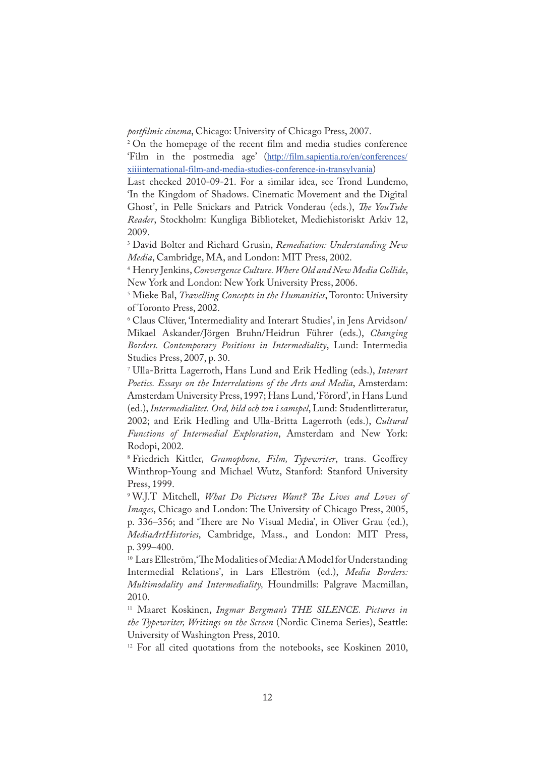*post�lmic cinema*, Chicago: University of Chicago Press, 2007.

<sup>2</sup> On the homepage of the recent film and media studies conference 'Film in the postmedia age' (http://film.sapientia.ro/en/conferences/ xiiiinternational-film-and-media-studies-conference-in-transylvania)

Last checked 2010-09-21. For a similar idea, see Trond Lundemo, 'In the Kingdom of Shadows. Cinematic Movement and the Digital Ghost', in Pelle Snickars and Patrick Vonderau (eds.), *�e YouTube Reader*, Stockholm: Kungliga Biblioteket, Mediehistoriskt Arkiv 12, 2009.

3 David Bolter and Richard Grusin, *Remediation: Understanding New Media*, Cambridge, MA, and London: MIT Press, 2002.

4 Henry Jenkins, *Convergence Culture. Where Old and New Media Collide*, New York and London: New York University Press, 2006.

5 Mieke Bal, *Travelling Concepts in the Humanities*, Toronto: University of Toronto Press, 2002.

6 Claus Clüver, 'Intermediality and Interart Studies', in Jens Arvidson/ Mikael Askander/Jörgen Bruhn/Heidrun Führer (eds.), *Changing Borders. Contemporary Positions in Intermediality*, Lund: Intermedia Studies Press, 2007, p. 30.

7 Ulla-Britta Lagerroth, Hans Lund and Erik Hedling (eds.), *Interart Poetics. Essays on the Interrelations of the Arts and Media*, Amsterdam: Amsterdam University Press, 1997; Hans Lund, 'Förord', in Hans Lund (ed.), *Intermedialitet. Ord, bild och ton i samspel*, Lund: Studentlitteratur, 2002; and Erik Hedling and Ulla-Britta Lagerroth (eds.), *Cultural Functions of Intermedial Exploration*, Amsterdam and New York: Rodopi, 2002.

8 Friedrich Kittler*, Gramophone, Film, Typewriter*, trans. Geoffrey Winthrop-Young and Michael Wutz, Stanford: Stanford University Press, 1999.

9 W.J.T Mitchell, *What Do Pictures Want? �e Lives and Loves of Images*, Chicago and London: The University of Chicago Press, 2005, p. 336–356; and 'There are No Visual Media', in Oliver Grau (ed.), *MediaArtHistories*, Cambridge, Mass., and London: MIT Press, p. 399–400.

<sup>10</sup> Lars Elleström, 'The Modalities of Media: A Model for Understanding Intermedial Relations', in Lars Elleström (ed.), *Media Borders: Multimodality and Intermediality,* Houndmills: Palgrave Macmillan, 2010.

<sup>11</sup> Maaret Koskinen, *Ingmar Bergman's THE SILENCE. Pictures in the Typewriter, Writings on the Screen* (Nordic Cinema Series), Seattle: University of Washington Press, 2010.

<sup>12</sup> For all cited quotations from the notebooks, see Koskinen 2010,